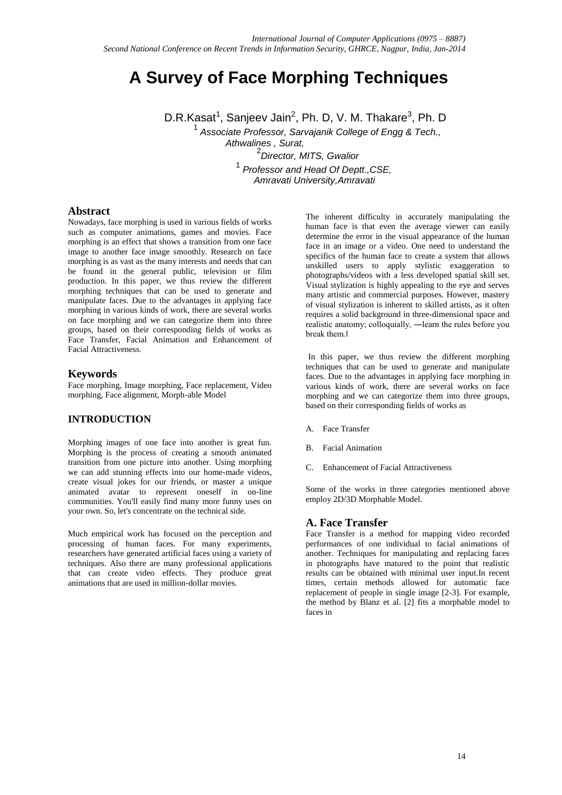# **A Survey of Face Morphing Techniques**

D.R.Kasat<sup>1</sup>, Sanjeev Jain<sup>2</sup>, Ph. D, V. M. Thakare<sup>3</sup>, Ph. D

1 *Associate Professor, Sarvajanik College of Engg & Tech., Athwalines , Surat,*  2 *Director, MITS, Gwalior*

1 *Professor and Head Of Deptt.,CSE, Amravati University,Amravati*

#### **Abstract**

Nowadays, face morphing is used in various fields of works such as computer animations, games and movies. Face morphing is an effect that shows a transition from one face image to another face image smoothly. Research on face morphing is as vast as the many interests and needs that can be found in the general public, television or film production. In this paper, we thus review the different morphing techniques that can be used to generate and manipulate faces. Due to the advantages in applying face morphing in various kinds of work, there are several works on face morphing and we can categorize them into three groups, based on their corresponding fields of works as Face Transfer, Facial Animation and Enhancement of Facial Attractiveness.

## **Keywords**

Face morphing, Image morphing, Face replacement, Video morphing, Face alignment, Morph-able Model

## **INTRODUCTION**

Morphing images of one face into another is great fun. Morphing is the process of creating a smooth animated transition from one picture into another. Using morphing we can add stunning effects into our home-made videos. create visual jokes for our friends, or master a unique animated avatar to represent oneself in on-line communities. You'll easily find many more funny uses on your own. So, let's concentrate on the technical side.

Much empirical work has focused on the perception and processing of human faces. For many experiments, researchers have generated artificial faces using a variety of techniques. Also there are many professional applications that can create video effects. They produce great animations that are used in million-dollar movies.

The inherent difficulty in accurately manipulating the human face is that even the average viewer can easily determine the error in the visual appearance of the human face in an image or a video. One need to understand the specifics of the human face to create a system that allows unskilled users to apply stylistic exaggeration to photographs/videos with a less developed spatial skill set. Visual stylization is highly appealing to the eye and serves many artistic and commercial purposes. However, mastery of visual stylization is inherent to skilled artists, as it often requires a solid background in three-dimensional space and realistic anatomy; colloquially, ―learn the rules before you break them.‖

In this paper, we thus review the different morphing techniques that can be used to generate and manipulate faces. Due to the advantages in applying face morphing in various kinds of work, there are several works on face morphing and we can categorize them into three groups, based on their corresponding fields of works as

- A. Face Transfer
- B. Facial Animation
- C. Enhancement of Facial Attractiveness

Some of the works in three categories mentioned above employ 2D/3D Morphable Model.

# **A. Face Transfer**

Face Transfer is a method for mapping video recorded performances of one individual to facial animations of another. Techniques for manipulating and replacing faces in photographs have matured to the point that realistic results can be obtained with minimal user input.In recent times, certain methods allowed for automatic face replacement of people in single image [2-3]. For example, the method by Blanz et al. [2] fits a morphable model to faces in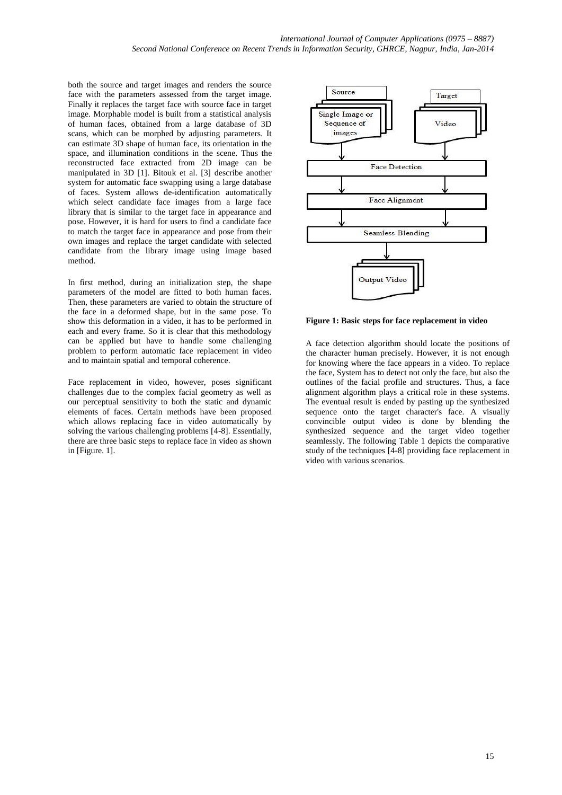both the source and target images and renders the source face with the parameters assessed from the target image. Finally it replaces the target face with source face in target image. Morphable model is built from a statistical analysis of human faces, obtained from a large database of 3D scans, which can be morphed by adjusting parameters. It can estimate 3D shape of human face, its orientation in the space, and illumination conditions in the scene. Thus the reconstructed face extracted from 2D image can be manipulated in 3D [1]. Bitouk et al. [3] describe another system for automatic face swapping using a large database of faces. System allows de-identification automatically which select candidate face images from a large face library that is similar to the target face in appearance and pose. However, it is hard for users to find a candidate face to match the target face in appearance and pose from their own images and replace the target candidate with selected candidate from the library image using image based method.

In first method, during an initialization step, the shape parameters of the model are fitted to both human faces. Then, these parameters are varied to obtain the structure of the face in a deformed shape, but in the same pose. To show this deformation in a video, it has to be performed in each and every frame. So it is clear that this methodology can be applied but have to handle some challenging problem to perform automatic face replacement in video and to maintain spatial and temporal coherence.

Face replacement in video, however, poses significant challenges due to the complex facial geometry as well as our perceptual sensitivity to both the static and dynamic elements of faces. Certain methods have been proposed which allows replacing face in video automatically by solving the various challenging problems [4-8]. Essentially, there are three basic steps to replace face in video as shown in [Figure. 1].



**Figure 1: Basic steps for face replacement in video**

A face detection algorithm should locate the positions of the character human precisely. However, it is not enough for knowing where the face appears in a video. To replace the face, System has to detect not only the face, but also the outlines of the facial profile and structures. Thus, a face alignment algorithm plays a critical role in these systems. The eventual result is ended by pasting up the synthesized sequence onto the target character's face. A visually convincible output video is done by blending the synthesized sequence and the target video together seamlessly. The following Table 1 depicts the comparative study of the techniques [4-8] providing face replacement in video with various scenarios.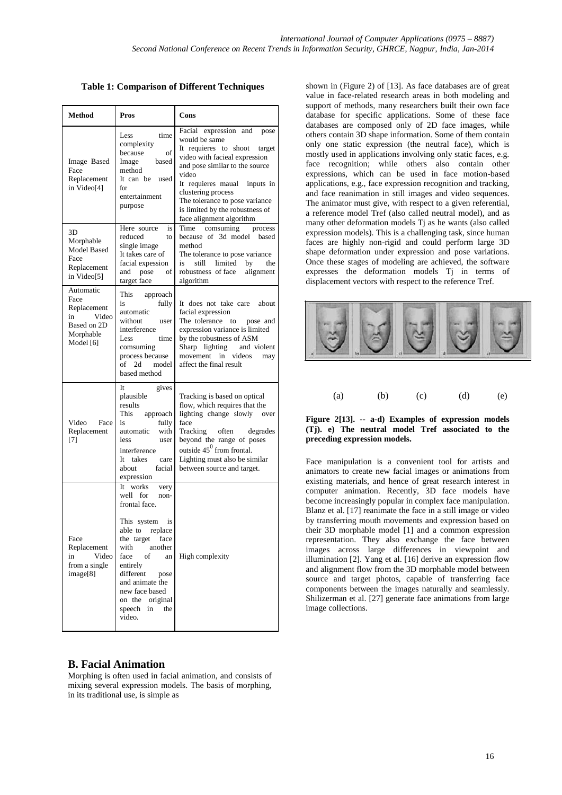**Table 1: Comparison of Different Techniques**

| <b>Method</b>                                                                            | Pros                                                                                                                                                                                                                                                                                 | Cons                                                                                                                                                                                                                                                                                                                 |  |  |
|------------------------------------------------------------------------------------------|--------------------------------------------------------------------------------------------------------------------------------------------------------------------------------------------------------------------------------------------------------------------------------------|----------------------------------------------------------------------------------------------------------------------------------------------------------------------------------------------------------------------------------------------------------------------------------------------------------------------|--|--|
| Image Based<br>Face<br>Replacement<br>in Video[4]                                        | time<br>Less<br>complexity<br>because<br>of<br>Image<br>based<br>method<br>It can be used<br>for<br>entertainment<br>purpose                                                                                                                                                         | Facial expression and<br>pose<br>would be same<br>It requieres to shoot target<br>video with facieal expression<br>and pose similar to the source<br>video<br>It requieres maual<br>inputs in<br>clustering process<br>The tolerance to pose variance<br>is limited by the robustness of<br>face alignment algorithm |  |  |
| 3D<br>Morphable<br><b>Model Based</b><br>Face<br>Replacement<br>in Video[5]              | Here source<br>is<br>reduced<br>to<br>single image<br>It takes care of<br>facial expession<br>and pose<br>of<br>target face                                                                                                                                                          | Time<br>comsuming<br>process<br>because of 3d model<br>based<br>method<br>The tolerance to pose variance<br>limited<br>is<br>still<br>by<br>the<br>robustness of face<br>alignment<br>algorithm                                                                                                                      |  |  |
| Automatic<br>Face<br>Replacement<br>Video<br>in<br>Based on 2D<br>Morphable<br>Model [6] | This<br>approach<br>is<br>fully<br>automatic<br>without<br>user<br>interference<br>Less<br>time<br>comsuming<br>process because<br>of 2d<br>model<br>based method                                                                                                                    | It does not take care<br>about<br>facial expression<br>The tolerance<br>pose and<br>to<br>expression variance is limited<br>by the robustness of ASM<br>Sharp lighting<br>and violent<br>movement in videos<br>may<br>affect the final result                                                                        |  |  |
| Video<br>Face<br>Replacement<br>$[7]$                                                    | It<br>gives<br>plausible<br>results<br>This<br>approach<br>fully<br>is<br>with<br>automatic<br>less<br>user<br>interference<br>It takes<br>care<br>facial<br>about<br>expression                                                                                                     | Tracking is based on optical<br>flow, which requires that the<br>lighting change slowly<br>over<br>face<br>degrades<br>Tracking often<br>beyond the range of poses<br>outside $45^0$ from frontal.<br>Lighting must also be similar<br>between source and target.                                                    |  |  |
| Face<br>Replacement<br>Video<br>in<br>from a single<br>image[8]                          | It works<br>very<br>well for<br>non-<br>frontal face.<br>This system<br>is<br>able to<br>replace<br>the target<br>face<br>with<br>another<br>face<br>of<br>an<br>entirely<br>different<br>pose<br>and animate the<br>new face based<br>on the original<br>speech in<br>the<br>video. | High complexity                                                                                                                                                                                                                                                                                                      |  |  |

#### **B. Facial Animation**

Morphing is often used in facial animation, and consists of mixing several expression models. The basis of morphing, in its traditional use, is simple as

shown in (Figure 2) of [13]. As face databases are of great value in face-related research areas in both modeling and support of methods, many researchers built their own face database for specific applications. Some of these face databases are composed only of 2D face images, while others contain 3D shape information. Some of them contain only one static expression (the neutral face), which is mostly used in applications involving only static faces, e.g. face recognition; while others also contain other expressions, which can be used in face motion-based applications, e.g., face expression recognition and tracking, and face reanimation in still images and video sequences. The animator must give, with respect to a given referential, a reference model Tref (also called neutral model), and as many other deformation models Tj as he wants (also called expression models). This is a challenging task, since human faces are highly non-rigid and could perform large 3D shape deformation under expression and pose variations. Once these stages of modeling are achieved, the software expresses the deformation models Tj in terms of displacement vectors with respect to the reference Tref.



| (a) | (b) | (c) | (d) | (e) |
|-----|-----|-----|-----|-----|
|     |     |     |     |     |

#### **Figure 2[13]. -- a-d) Examples of expression models (Tj). e) The neutral model Tref associated to the preceding expression models.**

Face manipulation is a convenient tool for artists and animators to create new facial images or animations from existing materials, and hence of great research interest in computer animation. Recently, 3D face models have become increasingly popular in complex face manipulation. Blanz et al. [17] reanimate the face in a still image or video by transferring mouth movements and expression based on their 3D morphable model [1] and a common expression representation. They also exchange the face between images across large differences in viewpoint and illumination [2]. Yang et al. [16] derive an expression flow and alignment flow from the 3D morphable model between source and target photos, capable of transferring face components between the images naturally and seamlessly. Shilizerman et al. [27] generate face animations from large image collections.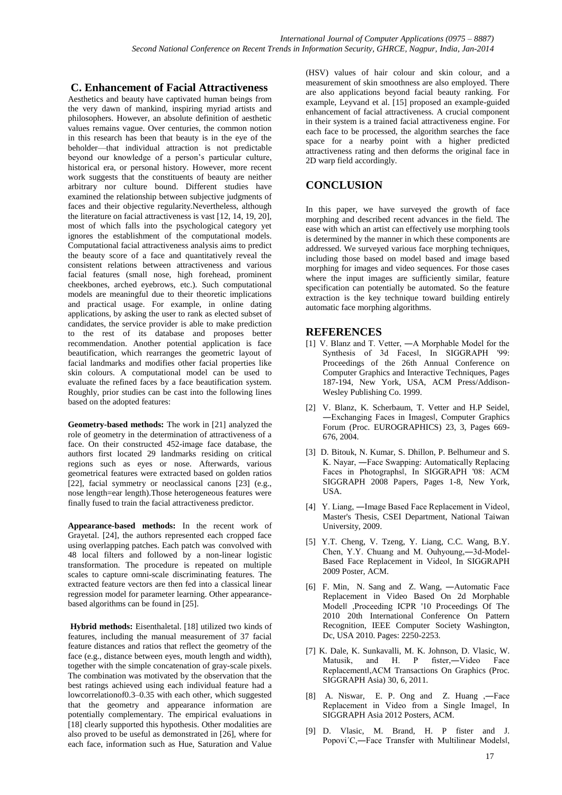# **C. Enhancement of Facial Attractiveness**

Aesthetics and beauty have captivated human beings from the very dawn of mankind, inspiring myriad artists and philosophers. However, an absolute definition of aesthetic values remains vague. Over centuries, the common notion in this research has been that beauty is in the eye of the beholder—that individual attraction is not predictable beyond our knowledge of a person's particular culture, historical era, or personal history. However, more recent work suggests that the constituents of beauty are neither arbitrary nor culture bound. Different studies have examined the relationship between subjective judgments of faces and their objective regularity.Nevertheless, although the literature on facial attractiveness is vast [12, 14, 19, 20], most of which falls into the psychological category yet ignores the establishment of the computational models. Computational facial attractiveness analysis aims to predict the beauty score of a face and quantitatively reveal the consistent relations between attractiveness and various facial features (small nose, high forehead, prominent cheekbones, arched eyebrows, etc.). Such computational models are meaningful due to their theoretic implications and practical usage. For example, in online dating applications, by asking the user to rank as elected subset of candidates, the service provider is able to make prediction to the rest of its database and proposes better recommendation. Another potential application is face beautification, which rearranges the geometric layout of facial landmarks and modifies other facial properties like skin colours. A computational model can be used to evaluate the refined faces by a face beautification system. Roughly, prior studies can be cast into the following lines based on the adopted features:

**Geometry-based methods:** The work in [21] analyzed the role of geometry in the determination of attractiveness of a face. On their constructed 452-image face database, the authors first located 29 landmarks residing on critical regions such as eyes or nose. Afterwards, various geometrical features were extracted based on golden ratios [22], facial symmetry or neoclassical canons [23] (e.g., nose length=ear length).Those heterogeneous features were finally fused to train the facial attractiveness predictor.

**Appearance-based methods:** In the recent work of Grayetal. [24], the authors represented each cropped face using overlapping patches. Each patch was convolved with 48 local filters and followed by a non-linear logistic transformation. The procedure is repeated on multiple scales to capture omni-scale discriminating features. The extracted feature vectors are then fed into a classical linear regression model for parameter learning. Other appearancebased algorithms can be found in [25].

**Hybrid methods:** Eisenthaletal. [18] utilized two kinds of features, including the manual measurement of 37 facial feature distances and ratios that reflect the geometry of the face (e.g., distance between eyes, mouth length and width), together with the simple concatenation of gray-scale pixels. The combination was motivated by the observation that the best ratings achieved using each individual feature had a lowcorrelationof0.3–0.35 with each other, which suggested that the geometry and appearance information are potentially complementary. The empirical evaluations in [18] clearly supported this hypothesis. Other modalities are also proved to be useful as demonstrated in [26], where for each face, information such as Hue, Saturation and Value

(HSV) values of hair colour and skin colour, and a measurement of skin smoothness are also employed. There are also applications beyond facial beauty ranking. For example, Leyvand et al. [15] proposed an example-guided enhancement of facial attractiveness. A crucial component in their system is a trained facial attractiveness engine. For each face to be processed, the algorithm searches the face space for a nearby point with a higher predicted attractiveness rating and then deforms the original face in 2D warp field accordingly.

# **CONCLUSION**

In this paper, we have surveyed the growth of face morphing and described recent advances in the field. The ease with which an artist can effectively use morphing tools is determined by the manner in which these components are addressed. We surveyed various face morphing techniques, including those based on model based and image based morphing for images and video sequences. For those cases where the input images are sufficiently similar, feature specification can potentially be automated. So the feature extraction is the key technique toward building entirely automatic face morphing algorithms.

## **REFERENCES**

- [1] V. Blanz and T. Vetter, ―A Morphable Model for the Synthesis of 3d Facesl, In SIGGRAPH '99: Proceedings of the 26th Annual Conference on Computer Graphics and Interactive Techniques, Pages 187-194, New York, USA, ACM Press/Addison-Wesley Publishing Co. 1999.
- [2] V. Blanz, K. Scherbaum, T. Vetter and H.P Seidel, ―Exchanging Faces in Images‖, Computer Graphics Forum (Proc. EUROGRAPHICS) 23, 3, Pages 669- 676, 2004.
- [3] D. Bitouk, N. Kumar, S. Dhillon, P. Belhumeur and S. K. Nayar, ―Face Swapping: Automatically Replacing Faces in Photographsl, In SIGGRAPH '08: ACM SIGGRAPH 2008 Papers, Pages 1-8, New York, USA.
- [4] Y. Liang, —Image Based Face Replacement in Videol, Master's Thesis, CSEI Department, National Taiwan University, 2009.
- [5] Y.T. Cheng, V. Tzeng, Y. Liang, C.C. Wang, B.Y. Chen, Y.Y. Chuang and M. Ouhyoung,―3d-Model-Based Face Replacement in Video‖, In SIGGRAPH 2009 Poster, ACM.
- [6] [F. Min,](http://dl.acm.org/author_page.cfm?id=81537014456&coll=DL&dl=ACM&trk=0&cfid=374040328&cftoken=46189594) [N. Sang](http://dl.acm.org/author_page.cfm?id=81542198356&coll=DL&dl=ACM&trk=0&cfid=374040328&cftoken=46189594) and [Z. Wang,](http://dl.acm.org/author_page.cfm?id=81474674284&coll=DL&dl=ACM&trk=0&cfid=374040328&cftoken=46189594) ―Automatic Face Replacement in Video Based On 2d Morphable Model‖ ,Proceeding ICPR '10 Proceedings Of The 2010 20th International Conference On Pattern Recognition, IEEE Computer Society Washington, Dc, USA 2010. Pages: 2250-2253.
- [7] K. Dale, K. Sunkavalli, M. K. Johnson, D. Vlasic, W. Matusik, and H. P fister,―Video Face Replacement‖,ACM Transactions On Graphics (Proc. SIGGRAPH Asia) 30, 6, 2011.
- [8] [A. Niswar,](http://dl.acm.org/author_page.cfm?id=81448600727&coll=DL&dl=GUIDE&CFID=374040328&CFTOKEN=46189594) [E. P. Ong](http://dl.acm.org/author_page.cfm?id=81408599410&coll=DL&dl=GUIDE&CFID=374040328&CFTOKEN=46189594) and [Z. Huang](http://dl.acm.org/author_page.cfm?id=81423592922&coll=DL&dl=GUIDE&CFID=374040328&CFTOKEN=46189594) ,―Face Replacement in Video from a Single Imagel, In SIGGRAPH Asia 2012 Posters, ACM.
- [9] D. Vlasic, M. Brand, H. P fister and J. Popovi'C,—Face Transfer with Multilinear Modelsl,